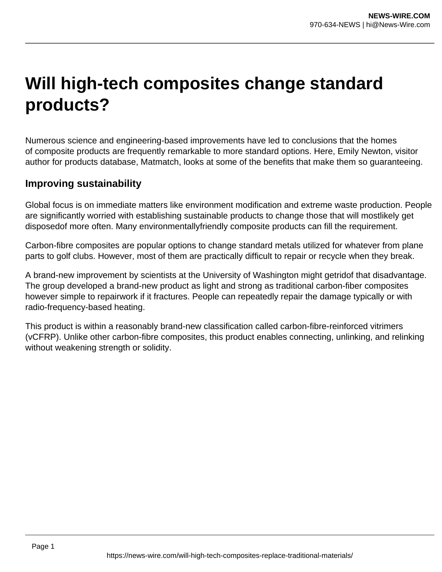## **Will high-tech composites change standard products?**

Numerous science and engineering-based improvements have led to conclusions that the homes of composite products are frequently remarkable to more standard options. Here, Emily Newton, visitor author for products database, Matmatch, looks at some of the benefits that make them so guaranteeing.

## **Improving sustainability**

Global focus is on immediate matters like environment modification and extreme waste production. People are significantly worried with establishing sustainable products to change those that will mostlikely get disposedof more often. Many environmentallyfriendly composite products can fill the requirement.

Carbon-fibre composites are popular options to change standard metals utilized for whatever from plane parts to golf clubs. However, most of them are practically difficult to repair or recycle when they break.

A brand-new improvement by scientists at the University of Washington might getridof that disadvantage. The group developed a brand-new product as light and strong as traditional carbon-fiber composites however simple to repairwork if it fractures. People can repeatedly repair the damage typically or with radio-frequency-based heating.

This product is within a reasonably brand-new classification called carbon-fibre-reinforced vitrimers (vCFRP). Unlike other carbon-fibre composites, this product enables connecting, unlinking, and relinking without weakening strength or solidity.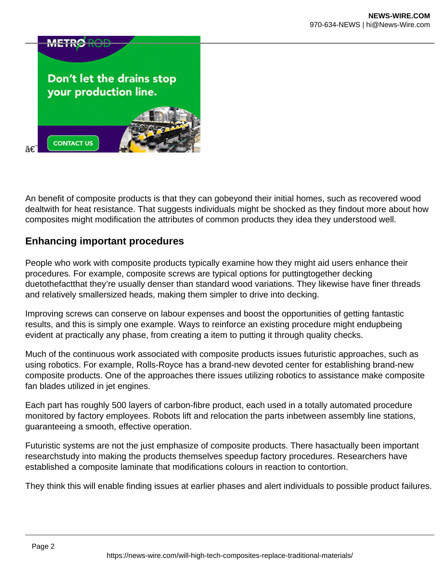

An benefit of composite products is that they can gobeyond their initial homes, such as recovered wood dealtwith for heat resistance. That suggests individuals might be shocked as they findout more about how composites might modification the attributes of common products they idea they understood well.

## **Enhancing important procedures**

People who work with composite products typically examine how they might aid users enhance their procedures. For example, composite screws are typical options for puttingtogether decking duetothefactthat they're usually denser than standard wood variations. They likewise have finer threads and relatively smallersized heads, making them simpler to drive into decking.

Improving screws can conserve on labour expenses and boost the opportunities of getting fantastic results, and this is simply one example. Ways to reinforce an existing procedure might endupbeing evident at practically any phase, from creating a item to putting it through quality checks.

Much of the continuous work associated with composite products issues futuristic approaches, such as using robotics. For example, Rolls-Royce has a brand-new devoted center for establishing brand-new composite products. One of the approaches there issues utilizing robotics to assistance make composite fan blades utilized in jet engines.

Each part has roughly 500 layers of carbon-fibre product, each used in a totally automated procedure monitored by factory employees. Robots lift and relocation the parts inbetween assembly line stations, guaranteeing a smooth, effective operation.

Futuristic systems are not the just emphasize of composite products. There hasactually been important researchstudy into making the products themselves speedup factory procedures. Researchers have established a composite laminate that modifications colours in reaction to contortion.

They think this will enable finding issues at earlier phases and alert individuals to possible product failures.